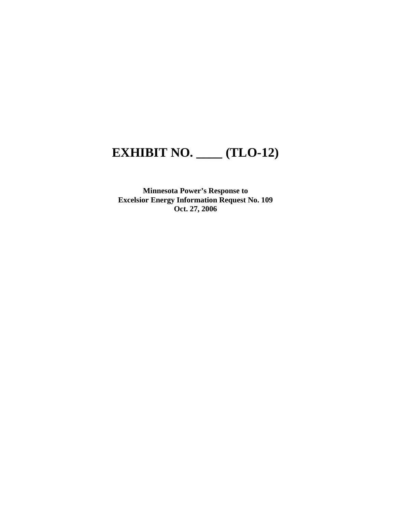## **EXHIBIT NO. \_\_\_\_ (TLO-12)**

**Minnesota Power's Response to Excelsior Energy Information Request No. 109 Oct. 27, 2006**